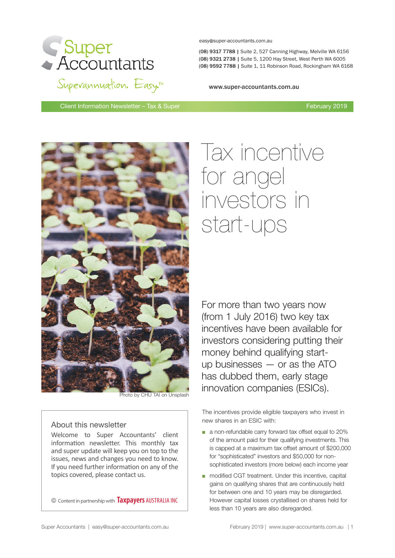

easy@super-accountants.com.au

(08) 9317 7788 | Suite 2, 527 Canning Highway, Melville WA 6156 (08) 9321 2738| Suite 5, 1200 Hay Street, West Perth WA 6005 (08) 9321 2738 | Suite 5, 1200 Hay Street, West Perth WA 6005 (08) 9592 7788 | Suite 1, 11 Robinson Road, Rockingham WA 6168

www.super-accountants.com.au

Client Information Newsletter – Tax & Super February 2019



# About this newsletter

Welcome to Super Accountants' client information newsletter. This monthly tax and super update will keep you on top to the issues, news and changes you need to know. If you need further information on any of the topics covered, please contact us.

© Content in partnership with **Taxpayers** AUSTRALIA INC

# Tax incentive for angel investors in start-ups

For more than two years now (from 1 July 2016) two key tax incentives have been available for investors considering putting their money behind qualifying startup businesses — or as the ATO has dubbed them, early stage **innovation companies (ESICs).**<br>Photo by CHU TAI on Unsplash

> The incentives provide eligible taxpayers who invest in new shares in an ESIC with:

- a non-refundable carry forward tax offset equal to 20% of the amount paid for their qualifying investments. This is capped at a maximum tax offset amount of \$200,000 for "sophisticated" investors and \$50,000 for nonsophisticated investors (more below) each income year
- modified CGT treatment. Under this incentive, capital gains on qualifying shares that are continuously held for between one and 10 years may be disregarded. However capital losses crystallised on shares held for less than 10 years are also disregarded.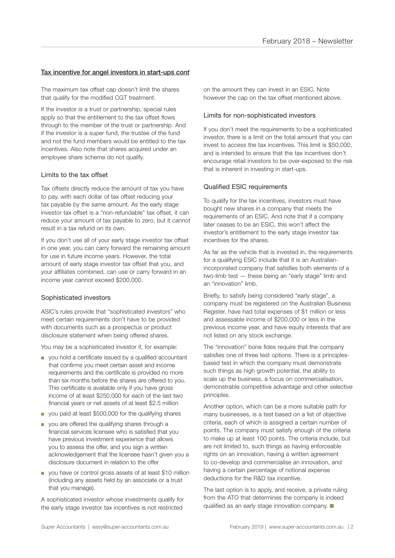## Tax incentive for angel investors in start-ups *cont*

The maximum tax offset cap doesn't limit the shares that qualify for the modified CGT treatment.

If the investor is a trust or partnership, special rules apply so that the entitlement to the tax offset flows through to the member of the trust or partnership. And if the investor is a super fund, the trustee of the fund and not the fund members would be entitled to the tax incentives. Also note that shares acquired under an employee share scheme do not qualify.

## Limits to the tax offset

Tax offsets directly reduce the amount of tax you have to pay, with each dollar of tax offset reducing your tax payable by the same amount. As the early stage investor tax offset is a "non-refundable" tax offset, it can reduce your amount of tax payable to zero, but it cannot result in a tax refund on its own.

If you don't use all of your early stage investor tax offset in one year, you can carry forward the remaining amount for use in future income years. However, the total amount of early stage investor tax offset that you, and your affiliates combined, can use or carry forward in an income year cannot exceed \$200,000.

## Sophisticated investors

ASIC's rules provide that "sophisticated investors" who meet certain requirements don't have to be provided with documents such as a prospectus or product disclosure statement when being offered shares.

You may be a sophisticated investor if, for example:

- you hold a certificate issued by a qualified accountant that confirms you meet certain asset and income requirements and the certificate is provided no more than six months before the shares are offered to you. This certificate is available only if you have gross income of at least \$250,000 for each of the last two financial years or net assets of at least \$2.5 million
- you paid at least \$500,000 for the qualifying shares
- you are offered the qualifying shares through a financial services licensee who is satisfied that you have previous investment experience that allows you to assess the offer, and you sign a written acknowledgement that the licensee hasn't given you a disclosure document in relation to the offer
- you have or control gross assets of at least \$10 million (including any assets held by an associate or a trust that you manage).

A sophisticated investor whose investments qualify for the early stage investor tax incentives is not restricted

on the amount they can invest in an ESIC. Note however the cap on the tax offset mentioned above.

#### Limits for non-sophisticated investors

If you don't meet the requirements to be a sophisticated investor, there is a limit on the total amount that you can invest to access the tax incentives. This limit is \$50,000, and is intended to ensure that the tax incentives don't encourage retail investors to be over-exposed to the risk that is inherent in investing in start-ups.

## Qualified ESIC requirements

To qualify for the tax incentives, investors must have bought new shares in a company that meets the requirements of an ESIC. And note that if a company later ceases to be an ESIC, this won't affect the investor's entitlement to the early stage investor tax incentives for the shares.

As far as the vehicle that is invested in, the requirements for a qualifying ESIC include that it is an Australianincorporated company that satisfies both elements of a two-limb test — these being an "early stage" limb and an "innovation" limb.

Briefly, to satisfy being considered "early stage", a company must be registered on the Australian Business Register, have had total expenses of \$1 million or less and assessable income of \$200,000 or less in the previous income year, and have equity interests that are not listed on any stock exchange.

The "innovation" bone fides require that the company satisfies one of three test options. There is a principlesbased test in which the company must demonstrate such things as high growth potential, the ability to scale up the business, a focus on commercialisation, demonstrable competitive advantage and other selective principles.

Another option, which can be a more suitable path for many businesses, is a test based on a list of objective criteria, each of which is assigned a certain number of points. The company must satisfy enough of the criteria to make up at least 100 points. The criteria include, but are not limited to, such things as having enforceable rights on an innovation, having a written agreement to co-develop and commercialise an innovation, and having a certain percentage of notional expense deductions for the R&D tax incentive.

The last option is to apply, and receive, a private ruling from the ATO that determines the company is indeed qualified as an early stage innovation company.  $\blacksquare$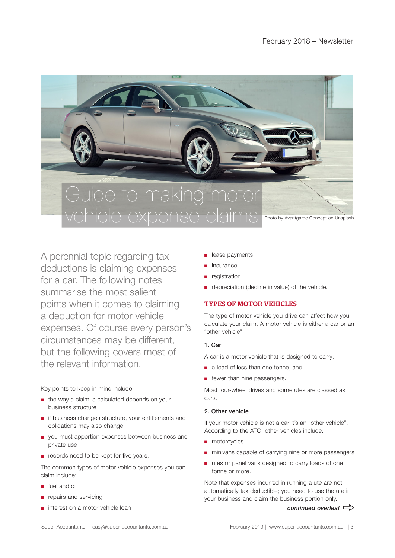

A perennial topic regarding tax deductions is claiming expenses for a car. The following notes summarise the most salient points when it comes to claiming a deduction for motor vehicle expenses. Of course every person's circumstances may be different, but the following covers most of the relevant information.

Key points to keep in mind include:

- the way a claim is calculated depends on your business structure
- if business changes structure, your entitlements and obligations may also change
- you must apportion expenses between business and private use
- records need to be kept for five years.

The common types of motor vehicle expenses you can claim include:

- fuel and oil
- repairs and servicing
- interest on a motor vehicle loan
- lease payments
- insurance
- registration
- depreciation (decline in value) of the vehicle.

# TYPES OF MOTOR VEHICLES

The type of motor vehicle you drive can affect how you calculate your claim. A motor vehicle is either a car or an "other vehicle".

# 1. Car

A car is a motor vehicle that is designed to carry:

- a load of less than one tonne, and
- fewer than nine passengers.

Most four-wheel drives and some utes are classed as cars.

# 2. Other vehicle

If your motor vehicle is not a car it's an "other vehicle". According to the ATO, other vehicles include:

- motorcycles
- minivans capable of carrying nine or more passengers
- utes or panel vans designed to carry loads of one tonne or more.

Note that expenses incurred in running a ute are not automatically tax deductible; you need to use the ute in your business and claim the business portion only.

*continued overleaf*  $\Rightarrow$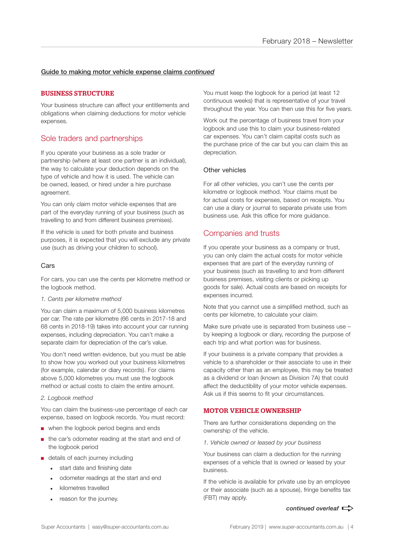## Guide to making motor vehicle expense claims *continued*

## BUSINESS STRUCTURE

Your business structure can affect your entitlements and obligations when claiming deductions for motor vehicle expenses.

# Sole traders and partnerships

If you operate your business as a sole trader or partnership (where at least one partner is an individual), the way to calculate your deduction depends on the type of vehicle and how it is used. The vehicle can be owned, leased, or hired under a hire purchase agreement.

You can only claim motor vehicle expenses that are part of the everyday running of your business (such as travelling to and from different business premises).

If the vehicle is used for both private and business purposes, it is expected that you will exclude any private use (such as driving your children to school).

## Cars

For cars, you can use the cents per kilometre method or the logbook method.

#### *1. Cents per kilometre method*

You can claim a maximum of 5,000 business kilometres per car. The rate per kilometre (66 cents in 2017-18 and 68 cents in 2018-19) takes into account your car running expenses, including depreciation. You can't make a separate claim for depreciation of the car's value.

You don't need written evidence, but you must be able to show how you worked out your business kilometres (for example, calendar or diary records). For claims above 5,000 kilometres you must use the logbook method or actual costs to claim the entire amount.

#### *2. Logbook method*

You can claim the business-use percentage of each car expense, based on logbook records. You must record:

- when the logbook period begins and ends
- the car's odometer reading at the start and end of the logbook period
- details of each journey including
	- start date and finishing date
	- odometer readings at the start and end
	- kilometres travelled
	- reason for the journey.

You must keep the logbook for a period (at least 12 continuous weeks) that is representative of your travel throughout the year. You can then use this for five years.

Work out the percentage of business travel from your logbook and use this to claim your business-related car expenses. You can't claim capital costs such as the purchase price of the car but you can claim this as depreciation.

#### Other vehicles

For all other vehicles, you can't use the cents per kilometre or logbook method. Your claims must be for actual costs for expenses, based on receipts. You can use a diary or journal to separate private use from business use. Ask this office for more guidance.

# Companies and trusts

If you operate your business as a company or trust, you can only claim the actual costs for motor vehicle expenses that are part of the everyday running of your business (such as travelling to and from different business premises, visiting clients or picking up goods for sale). Actual costs are based on receipts for expenses incurred.

Note that you cannot use a simplified method, such as cents per kilometre, to calculate your claim.

Make sure private use is separated from business use – by keeping a logbook or diary, recording the purpose of each trip and what portion was for business.

If your business is a private company that provides a vehicle to a shareholder or their associate to use in their capacity other than as an employee, this may be treated as a dividend or loan (known as Division 7A) that could affect the deductibility of your motor vehicle expenses. Ask us if this seems to fit your circumstances.

## MOTOR VEHICLE OWNERSHIP

There are further considerations depending on the ownership of the vehicle.

*1. Vehicle owned or leased by your business*

Your business can claim a deduction for the running expenses of a vehicle that is owned or leased by your business.

If the vehicle is available for private use by an employee or their associate (such as a spouse), fringe benefits tax (FBT) may apply.

#### *continued overleaf*  $\Rightarrow$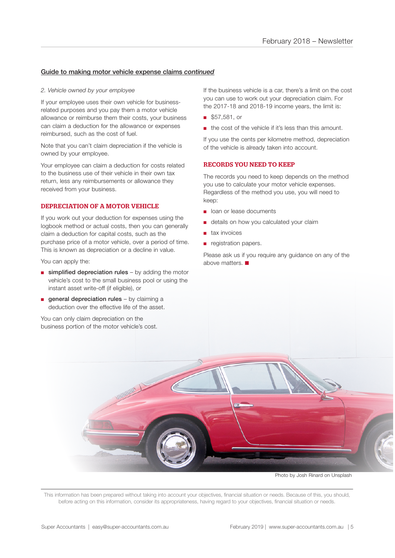## Guide to making motor vehicle expense claims *continued*

#### *2. Vehicle owned by your employee*

If your employee uses their own vehicle for businessrelated purposes and you pay them a motor vehicle allowance or reimburse them their costs, your business can claim a deduction for the allowance or expenses reimbursed, such as the cost of fuel.

Note that you can't claim depreciation if the vehicle is owned by your employee.

Your employee can claim a deduction for costs related to the business use of their vehicle in their own tax return, less any reimbursements or allowance they received from your business.

## DEPRECIATION OF A MOTOR VEHICLE

If you work out your deduction for expenses using the logbook method or actual costs, then you can generally claim a deduction for capital costs, such as the purchase price of a motor vehicle, over a period of time. This is known as depreciation or a decline in value.

You can apply the:

- $\blacksquare$  simplified depreciation rules by adding the motor vehicle's cost to the small business pool or using the instant asset write-off (if eligible), or
- $\blacksquare$  general depreciation rules by claiming a deduction over the effective life of the asset.

You can only claim depreciation on the business portion of the motor vehicle's cost.

If the business vehicle is a car, there's a limit on the cost you can use to work out your depreciation claim. For the 2017-18 and 2018-19 income years, the limit is:

- \$57,581, or
- the cost of the vehicle if it's less than this amount.

If you use the cents per kilometre method, depreciation of the vehicle is already taken into account.

## RECORDS YOU NEED TO KEEP

The records you need to keep depends on the method you use to calculate your motor vehicle expenses. Regardless of the method you use, you will need to keep:

- loan or lease documents
- details on how you calculated your claim
- tax invoices
- registration papers.

Please ask us if you require any guidance on any of the above matters.  $\blacksquare$ 

Photo by Josh Rinard on Unsplash

This information has been prepared without taking into account your objectives, financial situation or needs. Because of this, you should, before acting on this information, consider its appropriateness, having regard to your objectives, financial situation or needs.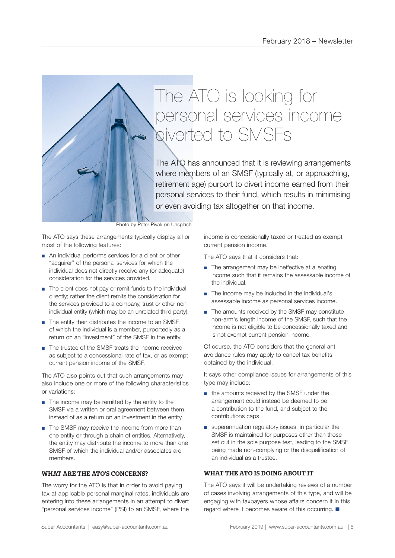

The ATO has announced that it is reviewing arrangements where members of an SMSF (typically at, or approaching, retirement age) purport to divert income earned from their personal services to their fund, which results in minimising or even avoiding tax altogether on that income.

Photo by Peter Pivak on Unsplash

The ATO says these arrangements typically display all or most of the following features:

- An individual performs services for a client or other "acquirer" of the personal services for which the individual does not directly receive any (or adequate) consideration for the services provided.
- The client does not pay or remit funds to the individual directly; rather the client remits the consideration for the services provided to a company, trust or other nonindividual entity (which may be an unrelated third party).
- The entity then distributes the income to an SMSF. of which the individual is a member, purportedly as a return on an "investment" of the SMSF in the entity.
- The trustee of the SMSF treats the income received as subject to a concessional rate of tax, or as exempt current pension income of the SMSF.

The ATO also points out that such arrangements may also include one or more of the following characteristics or variations:

- The income may be remitted by the entity to the SMSF via a written or oral agreement between them, instead of as a return on an investment in the entity.
- The SMSF may receive the income from more than one entity or through a chain of entities. Alternatively, the entity may distribute the income to more than one SMSF of which the individual and/or associates are members.

## WHAT ARE THE ATO'S CONCERNS?

The worry for the ATO is that in order to avoid paying tax at applicable personal marginal rates, individuals are entering into these arrangements in an attempt to divert "personal services income" (PSI) to an SMSF, where the

income is concessionally taxed or treated as exempt current pension income.

The ATO says that it considers that:

- The arrangement may be ineffective at alienating income such that it remains the assessable income of the individual.
- The income may be included in the individual's assessable income as personal services income.
- The amounts received by the SMSF may constitute non-arm's length income of the SMSF, such that the income is not eligible to be concessionally taxed and is not exempt current pension income.

Of course, the ATO considers that the general antiavoidance rules may apply to cancel tax benefits obtained by the individual.

It says other compliance issues for arrangements of this type may include:

- the amounts received by the SMSF under the arrangement could instead be deemed to be a contribution to the fund, and subject to the contributions caps
- superannuation regulatory issues, in particular the SMSF is maintained for purposes other than those set out in the sole purpose test, leading to the SMSF being made non-complying or the disqualification of an individual as a trustee.

# WHAT THE ATO IS DOING ABOUT IT

The ATO says it will be undertaking reviews of a number of cases involving arrangements of this type, and will be engaging with taxpayers whose affairs concern it in this regard where it becomes aware of this occurring.  $\blacksquare$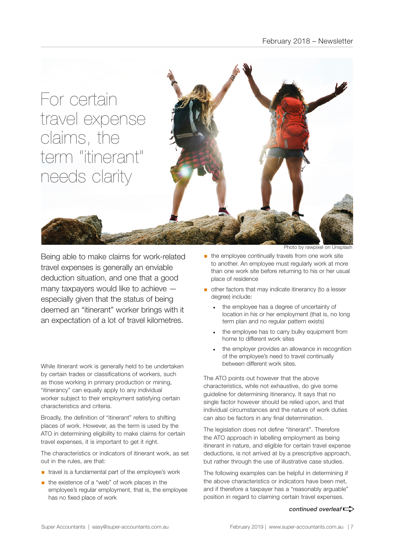

Being able to make claims for work-related travel expenses is generally an enviable deduction situation, and one that a good many taxpayers would like to achieve especially given that the status of being deemed an "itinerant" worker brings with it an expectation of a lot of travel kilometres.

While itinerant work is generally held to be undertaken by certain trades or classifications of workers, such as those working in primary production or mining, "itinerancy" can equally apply to any individual worker subject to their employment satisfying certain characteristics and criteria.

Broadly, the definition of "itinerant" refers to shifting places of work. However, as the term is used by the ATO in determining eligibility to make claims for certain travel expenses, it is important to get it right.

The characteristics or indicators of itinerant work, as set out in the rules, are that:

- travel is a fundamental part of the employee's work
- the existence of a "web" of work places in the employee's regular employment, that is, the employee has no fixed place of work

Photo by rawpixel on Un

- $\blacksquare$  the employee continually travels from one work site to another. An employee must regularly work at more than one work site before returning to his or her usual place of residence
- **•** other factors that may indicate itinerancy (to a lesser degree) include:
	- the employee has a degree of uncertainty of location in his or her employment (that is, no long term plan and no regular pattern exists)
	- the employee has to carry bulky equipment from home to different work sites
	- the employer provides an allowance in recognition of the employee's need to travel continually between different work sites.

The ATO points out however that the above characteristics, while not exhaustive, do give some guideline for determining itinerancy. It says that no single factor however should be relied upon, and that individual circumstances and the nature of work duties can also be factors in any final determination.

The legislation does not define "itinerant". Therefore the ATO approach in labelling employment as being itinerant in nature, and eligible for certain travel expense deductions, is not arrived at by a prescriptive approach, but rather through the use of illustrative case studies.

The following examples can be helpful in determining if the above characteristics or indicators have been met, and if therefore a taxpayer has a "reasonably arguable" position in regard to claiming certain travel expenses.

#### *continued overleaf* $\Rightarrow$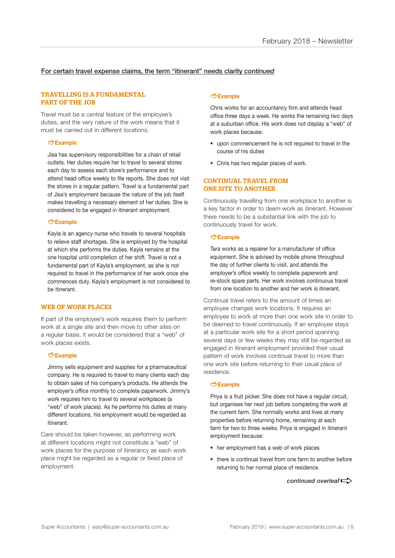## For certain travel expense claims, the term "itinerant" needs clarity *continued*

#### TRAVELLING IS A FUNDAMENTAL PART OF THE JOB

Travel must be a central feature of the employee's duties, and the very nature of the work means that it must be carried out in different locations.

#### ]**Example**

Jisa has supervisory responsibilities for a chain of retail outlets. Her duties require her to travel to several stores each day to assess each store's performance and to attend head office weekly to file reports. She does not visit the stores in a regular pattern. Travel is a fundamental part of Jisa's employment because the nature of the job itself makes travelling a necessary element of her duties. She is considered to be engaged in itinerant employment.

## ]**Example**

Kayla is an agency nurse who travels to several hospitals to relieve staff shortages. She is employed by the hospital at which she performs the duties. Kayla remains at the one hospital until completion of her shift. Travel is not a fundamental part of Kayla's employment, as she is not required to travel in the performance of her work once she commences duty. Kayla's employment is not considered to be itinerant.

## WEB OF WORK PLACES

If part of the employee's work requires them to perform work at a single site and then move to other sites on a regular basis, it would be considered that a "web" of work places exists.

#### ]**Example**

Jimmy sells equipment and supplies for a pharmaceutical company. He is required to travel to many clients each day to obtain sales of his company's products. He attends the employer's office monthly to complete paperwork. Jimmy's work requires him to travel to several workplaces (a "web" of work places). As he performs his duties at many different locations, his employment would be regarded as itinerant.

Care should be taken however, as performing work at different locations might not constitute a "web" of work places for the purpose of itinerancy as each work place might be regarded as a regular or fixed place of employment.

#### ]**Example**

Chris works for an accountancy firm and attends head office three days a week. He works the remaining two days at a suburban office. His work does not display a "web" of work places because:

- upon commencement he is not required to travel in the course of his duties
- Chris has two regular places of work.

#### CONTINUAL TRAVEL FROM ONE SITE TO ANOTHER

Continuously travelling from one workplace to another is a key factor in order to deem work as itinerant. However there needs to be a substantial link with the job to continuously travel for work.

#### ]**Example**

Tara works as a repairer for a manufacturer of office equipment. She is advised by mobile phone throughout the day of further clients to visit, and attends the employer's office weekly to complete paperwork and re-stock spare parts. Her work involves continuous travel from one location to another and her work is itinerant.

Continual travel refers to the amount of times an employee changes work locations. It requires an employee to work at more than one work site in order to be deemed to travel continuously. If an employee stays at a particular work site for a short period spanning several days or few weeks they may still be regarded as engaged in itinerant employment provided their usual pattern of work involves continual travel to more than one work site before returning to their usual place of residence.

#### ]**Example**

Priya is a fruit picker. She does not have a regular circuit, but organises her next job before completing the work at the current farm. She normally works and lives at many properties before returning home, remaining at each farm for two to three weeks. Priya is engaged in itinerant employment because:

- her employment has a web of work places
- there is continual travel from one farm to another before returning to her normal place of residence.

*continued overleaf* $\Rightarrow$